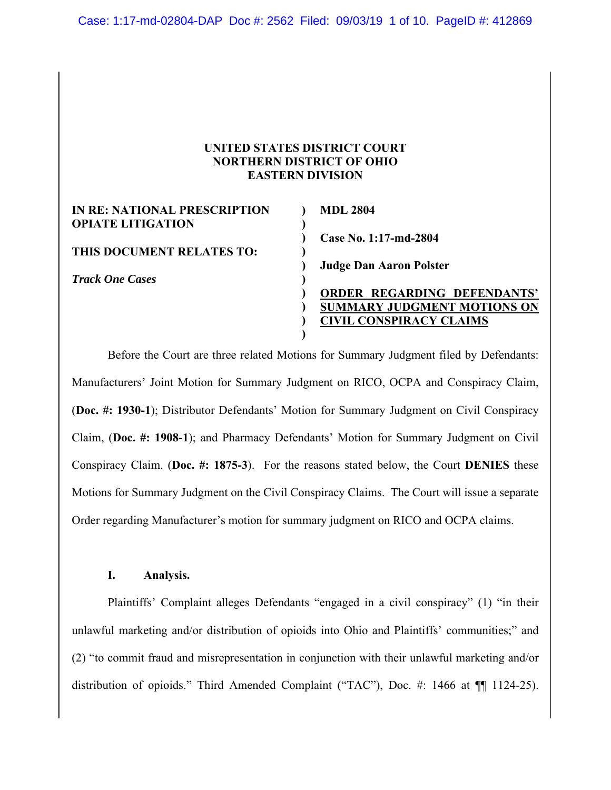# **UNITED STATES DISTRICT COURT NORTHERN DISTRICT OF OHIO EASTERN DIVISION**

| IN RE: NATIONAL PRESCRIPTION | <b>MDL 2804</b>                    |
|------------------------------|------------------------------------|
| <b>OPIATE LITIGATION</b>     |                                    |
|                              | Case No. 1:17-md-2804              |
| THIS DOCUMENT RELATES TO:    |                                    |
|                              | <b>Judge Dan Aaron Polster</b>     |
| <b>Track One Cases</b>       |                                    |
|                              | <b>ORDER REGARDING DEFENDANTS'</b> |
|                              | <b>SUMMARY JUDGMENT MOTIONS ON</b> |
|                              | <b>CIVIL CONSPIRACY CLAIMS</b>     |
|                              |                                    |

Before the Court are three related Motions for Summary Judgment filed by Defendants: Manufacturers' Joint Motion for Summary Judgment on RICO, OCPA and Conspiracy Claim, (**Doc. #: 1930-1**); Distributor Defendants' Motion for Summary Judgment on Civil Conspiracy Claim, (**Doc. #: 1908-1**); and Pharmacy Defendants' Motion for Summary Judgment on Civil Conspiracy Claim. (**Doc. #: 1875-3**). For the reasons stated below, the Court **DENIES** these Motions for Summary Judgment on the Civil Conspiracy Claims. The Court will issue a separate Order regarding Manufacturer's motion for summary judgment on RICO and OCPA claims.

# **I. Analysis.**

Plaintiffs' Complaint alleges Defendants "engaged in a civil conspiracy" (1) "in their unlawful marketing and/or distribution of opioids into Ohio and Plaintiffs' communities;" and (2) "to commit fraud and misrepresentation in conjunction with their unlawful marketing and/or distribution of opioids." Third Amended Complaint ("TAC"), Doc. #: 1466 at  $\P$  1124-25).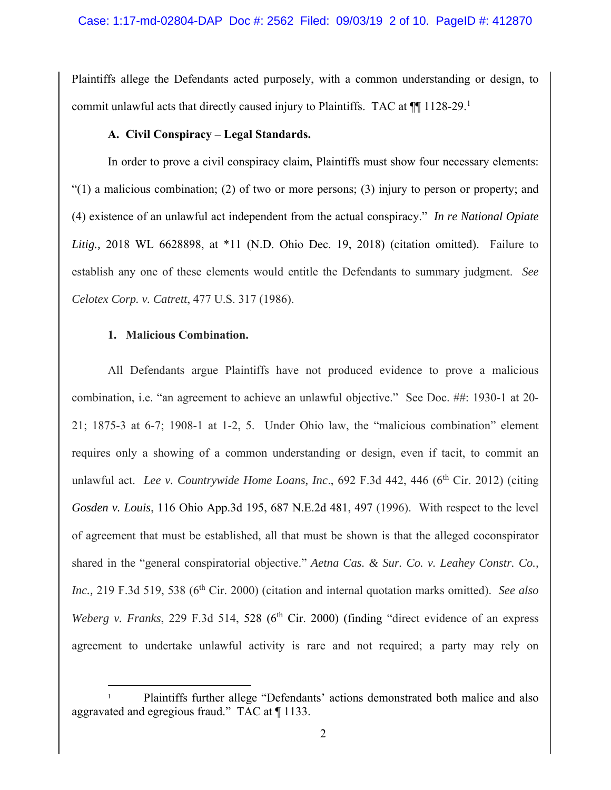Plaintiffs allege the Defendants acted purposely, with a common understanding or design, to commit unlawful acts that directly caused injury to Plaintiffs. TAC at  $\P$  1128-29.<sup>1</sup>

# **A. Civil Conspiracy – Legal Standards.**

In order to prove a civil conspiracy claim, Plaintiffs must show four necessary elements: "(1) a malicious combination; (2) of two or more persons; (3) injury to person or property; and (4) existence of an unlawful act independent from the actual conspiracy." *In re National Opiate Litig.,* 2018 WL 6628898, at \*11 (N.D. Ohio Dec. 19, 2018) (citation omitted). Failure to establish any one of these elements would entitle the Defendants to summary judgment. *See Celotex Corp. v. Catrett*, 477 U.S. 317 (1986).

# **1. Malicious Combination.**

All Defendants argue Plaintiffs have not produced evidence to prove a malicious combination, i.e. "an agreement to achieve an unlawful objective." See Doc. ##: 1930-1 at 20- 21; 1875-3 at 6-7; 1908-1 at 1-2, 5. Under Ohio law, the "malicious combination" element requires only a showing of a common understanding or design, even if tacit, to commit an unlawful act. *Lee v. Countrywide Home Loans, Inc.*, 692 F.3d 442, 446 (6<sup>th</sup> Cir. 2012) (citing *Gosden v. Louis*, 116 Ohio App.3d 195, 687 N.E.2d 481, 497 (1996). With respect to the level of agreement that must be established, all that must be shown is that the alleged coconspirator shared in the "general conspiratorial objective." *Aetna Cas. & Sur. Co. v. Leahey Constr. Co., Inc.,* 219 F.3d 519, 538 (6<sup>th</sup> Cir. 2000) (citation and internal quotation marks omitted). *See also Weberg v. Franks*, 229 F.3d 514, 528 (6<sup>th</sup> Cir. 2000) (finding "direct evidence of an express agreement to undertake unlawful activity is rare and not required; a party may rely on

<sup>1</sup> Plaintiffs further allege "Defendants' actions demonstrated both malice and also aggravated and egregious fraud." TAC at ¶ 1133.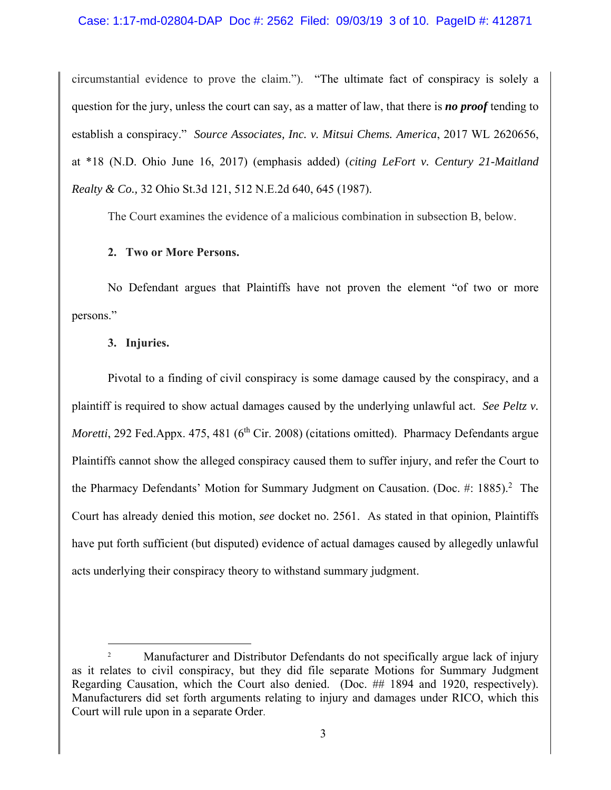circumstantial evidence to prove the claim."). "The ultimate fact of conspiracy is solely a question for the jury, unless the court can say, as a matter of law, that there is *no proof* tending to establish a conspiracy." *Source Associates, Inc. v. Mitsui Chems. America*, 2017 WL 2620656, at \*18 (N.D. Ohio June 16, 2017) (emphasis added) (*citing LeFort v. Century 21-Maitland Realty & Co.,* 32 Ohio St.3d 121, 512 N.E.2d 640, 645 (1987).

The Court examines the evidence of a malicious combination in subsection B, below.

#### **2. Two or More Persons.**

No Defendant argues that Plaintiffs have not proven the element "of two or more persons."

# **3. Injuries.**

Pivotal to a finding of civil conspiracy is some damage caused by the conspiracy, and a plaintiff is required to show actual damages caused by the underlying unlawful act. *See Peltz v. Moretti*, 292 Fed.Appx. 475, 481 (6<sup>th</sup> Cir. 2008) (citations omitted). Pharmacy Defendants argue Plaintiffs cannot show the alleged conspiracy caused them to suffer injury, and refer the Court to the Pharmacy Defendants' Motion for Summary Judgment on Causation. (Doc. #: 1885).<sup>2</sup> The Court has already denied this motion, *see* docket no. 2561. As stated in that opinion, Plaintiffs have put forth sufficient (but disputed) evidence of actual damages caused by allegedly unlawful acts underlying their conspiracy theory to withstand summary judgment.

<sup>2</sup> Manufacturer and Distributor Defendants do not specifically argue lack of injury as it relates to civil conspiracy, but they did file separate Motions for Summary Judgment Regarding Causation, which the Court also denied. (Doc. ## 1894 and 1920, respectively). Manufacturers did set forth arguments relating to injury and damages under RICO, which this Court will rule upon in a separate Order.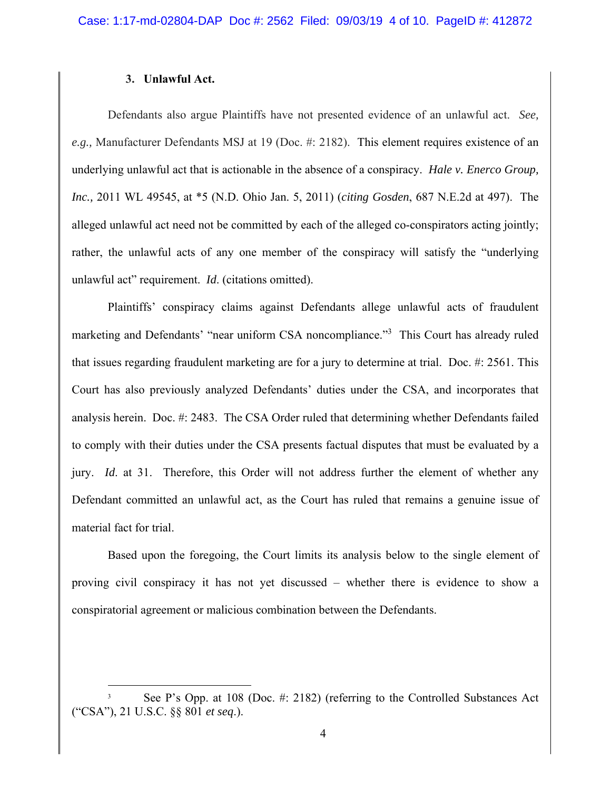#### **3. Unlawful Act.**

Defendants also argue Plaintiffs have not presented evidence of an unlawful act. *See, e.g.,* Manufacturer Defendants MSJ at 19 (Doc. #: 2182). This element requires existence of an underlying unlawful act that is actionable in the absence of a conspiracy. *Hale v. Enerco Group, Inc.,* 2011 WL 49545, at \*5 (N.D. Ohio Jan. 5, 2011) (*citing Gosden*, 687 N.E.2d at 497). The alleged unlawful act need not be committed by each of the alleged co-conspirators acting jointly; rather, the unlawful acts of any one member of the conspiracy will satisfy the "underlying unlawful act" requirement. *Id*. (citations omitted).

Plaintiffs' conspiracy claims against Defendants allege unlawful acts of fraudulent marketing and Defendants' "near uniform CSA noncompliance."<sup>3</sup> This Court has already ruled that issues regarding fraudulent marketing are for a jury to determine at trial. Doc. #: 2561. This Court has also previously analyzed Defendants' duties under the CSA, and incorporates that analysis herein. Doc. #: 2483. The CSA Order ruled that determining whether Defendants failed to comply with their duties under the CSA presents factual disputes that must be evaluated by a jury. *Id*. at 31. Therefore, this Order will not address further the element of whether any Defendant committed an unlawful act, as the Court has ruled that remains a genuine issue of material fact for trial.

Based upon the foregoing, the Court limits its analysis below to the single element of proving civil conspiracy it has not yet discussed – whether there is evidence to show a conspiratorial agreement or malicious combination between the Defendants.

<sup>3</sup> See P's Opp. at 108 (Doc. #: 2182) (referring to the Controlled Substances Act ("CSA"), 21 U.S.C. §§ 801 *et seq*.).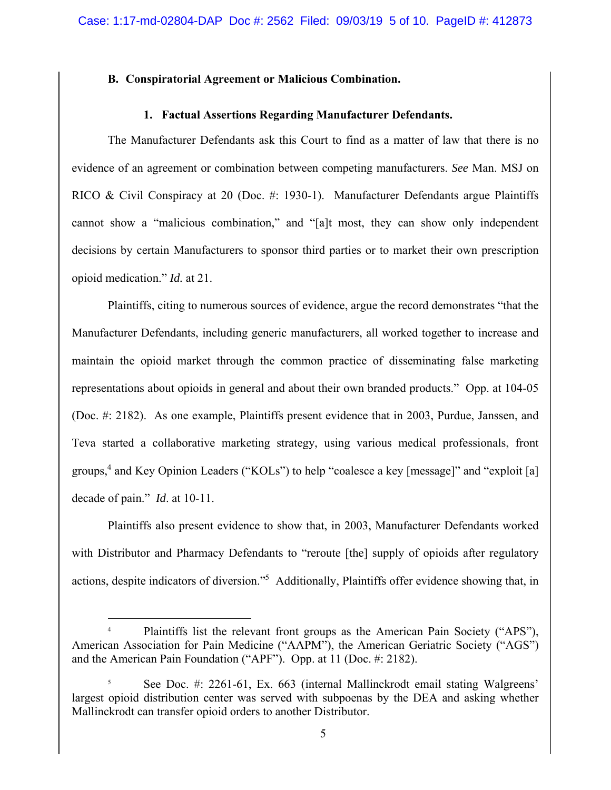# **B. Conspiratorial Agreement or Malicious Combination.**

#### **1. Factual Assertions Regarding Manufacturer Defendants.**

The Manufacturer Defendants ask this Court to find as a matter of law that there is no evidence of an agreement or combination between competing manufacturers. *See* Man. MSJ on RICO & Civil Conspiracy at 20 (Doc. #: 1930-1). Manufacturer Defendants argue Plaintiffs cannot show a "malicious combination," and "[a]t most, they can show only independent decisions by certain Manufacturers to sponsor third parties or to market their own prescription opioid medication." *Id.* at 21.

Plaintiffs, citing to numerous sources of evidence, argue the record demonstrates "that the Manufacturer Defendants, including generic manufacturers, all worked together to increase and maintain the opioid market through the common practice of disseminating false marketing representations about opioids in general and about their own branded products." Opp. at 104-05 (Doc. #: 2182). As one example, Plaintiffs present evidence that in 2003, Purdue, Janssen, and Teva started a collaborative marketing strategy, using various medical professionals, front groups,4 and Key Opinion Leaders ("KOLs") to help "coalesce a key [message]" and "exploit [a] decade of pain." *Id*. at 10-11.

Plaintiffs also present evidence to show that, in 2003, Manufacturer Defendants worked with Distributor and Pharmacy Defendants to "reroute [the] supply of opioids after regulatory actions, despite indicators of diversion."<sup>5</sup> Additionally, Plaintiffs offer evidence showing that, in

<sup>4</sup> Plaintiffs list the relevant front groups as the American Pain Society ("APS"), American Association for Pain Medicine ("AAPM"), the American Geriatric Society ("AGS") and the American Pain Foundation ("APF"). Opp. at 11 (Doc. #: 2182).

<sup>5</sup> See Doc. #: 2261-61, Ex. 663 (internal Mallinckrodt email stating Walgreens' largest opioid distribution center was served with subpoenas by the DEA and asking whether Mallinckrodt can transfer opioid orders to another Distributor.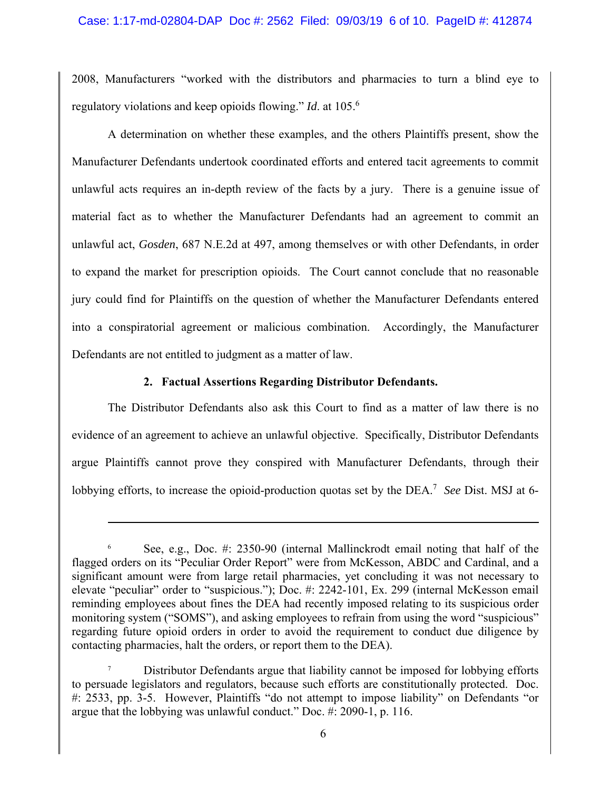2008, Manufacturers "worked with the distributors and pharmacies to turn a blind eye to regulatory violations and keep opioids flowing." *Id*. at 105.6

A determination on whether these examples, and the others Plaintiffs present, show the Manufacturer Defendants undertook coordinated efforts and entered tacit agreements to commit unlawful acts requires an in-depth review of the facts by a jury. There is a genuine issue of material fact as to whether the Manufacturer Defendants had an agreement to commit an unlawful act, *Gosden*, 687 N.E.2d at 497, among themselves or with other Defendants, in order to expand the market for prescription opioids. The Court cannot conclude that no reasonable jury could find for Plaintiffs on the question of whether the Manufacturer Defendants entered into a conspiratorial agreement or malicious combination. Accordingly, the Manufacturer Defendants are not entitled to judgment as a matter of law.

# **2. Factual Assertions Regarding Distributor Defendants.**

The Distributor Defendants also ask this Court to find as a matter of law there is no evidence of an agreement to achieve an unlawful objective. Specifically, Distributor Defendants argue Plaintiffs cannot prove they conspired with Manufacturer Defendants, through their lobbying efforts, to increase the opioid-production quotas set by the DEA.<sup>7</sup> See Dist. MSJ at 6-

<sup>6</sup> See, e.g., Doc. #: 2350-90 (internal Mallinckrodt email noting that half of the flagged orders on its "Peculiar Order Report" were from McKesson, ABDC and Cardinal, and a significant amount were from large retail pharmacies, yet concluding it was not necessary to elevate "peculiar" order to "suspicious."); Doc. #: 2242-101, Ex. 299 (internal McKesson email reminding employees about fines the DEA had recently imposed relating to its suspicious order monitoring system ("SOMS"), and asking employees to refrain from using the word "suspicious" regarding future opioid orders in order to avoid the requirement to conduct due diligence by contacting pharmacies, halt the orders, or report them to the DEA).

<sup>7</sup> Distributor Defendants argue that liability cannot be imposed for lobbying efforts to persuade legislators and regulators, because such efforts are constitutionally protected. Doc. #: 2533, pp. 3-5. However, Plaintiffs "do not attempt to impose liability" on Defendants "or argue that the lobbying was unlawful conduct." Doc. #: 2090-1, p. 116.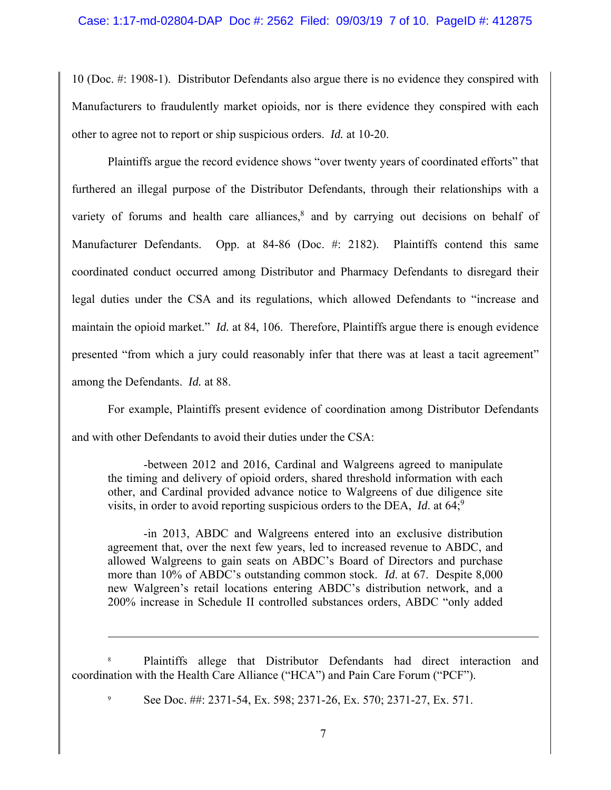10 (Doc. #: 1908-1). Distributor Defendants also argue there is no evidence they conspired with Manufacturers to fraudulently market opioids, nor is there evidence they conspired with each other to agree not to report or ship suspicious orders. *Id.* at 10-20.

Plaintiffs argue the record evidence shows "over twenty years of coordinated efforts" that furthered an illegal purpose of the Distributor Defendants, through their relationships with a variety of forums and health care alliances, $8$  and by carrying out decisions on behalf of Manufacturer Defendants. Opp. at 84-86 (Doc. #: 2182). Plaintiffs contend this same coordinated conduct occurred among Distributor and Pharmacy Defendants to disregard their legal duties under the CSA and its regulations, which allowed Defendants to "increase and maintain the opioid market." *Id.* at 84, 106. Therefore, Plaintiffs argue there is enough evidence presented "from which a jury could reasonably infer that there was at least a tacit agreement" among the Defendants. *Id.* at 88.

For example, Plaintiffs present evidence of coordination among Distributor Defendants and with other Defendants to avoid their duties under the CSA:

-between 2012 and 2016, Cardinal and Walgreens agreed to manipulate the timing and delivery of opioid orders, shared threshold information with each other, and Cardinal provided advance notice to Walgreens of due diligence site visits, in order to avoid reporting suspicious orders to the DEA,  $Id$  at 64;<sup>9</sup>

-in 2013, ABDC and Walgreens entered into an exclusive distribution agreement that, over the next few years, led to increased revenue to ABDC, and allowed Walgreens to gain seats on ABDC's Board of Directors and purchase more than 10% of ABDC's outstanding common stock. *Id*. at 67. Despite 8,000 new Walgreen's retail locations entering ABDC's distribution network, and a 200% increase in Schedule II controlled substances orders, ABDC "only added

8 Plaintiffs allege that Distributor Defendants had direct interaction and coordination with the Health Care Alliance ("HCA") and Pain Care Forum ("PCF").

9 See Doc. ##: 2371-54, Ex. 598; 2371-26, Ex. 570; 2371-27, Ex. 571.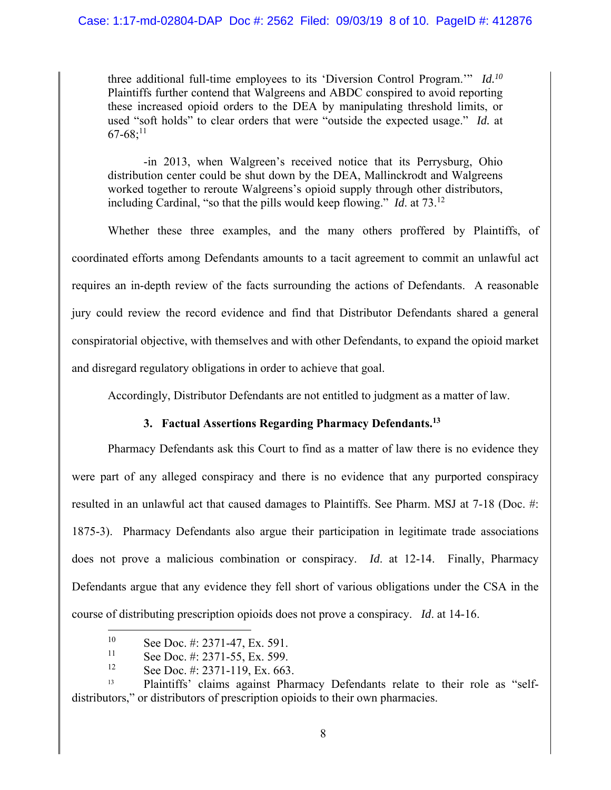three additional full-time employees to its 'Diversion Control Program.'" *Id.10* Plaintiffs further contend that Walgreens and ABDC conspired to avoid reporting these increased opioid orders to the DEA by manipulating threshold limits, or used "soft holds" to clear orders that were "outside the expected usage." *Id.* at  $67-68;^{11}$ 

-in 2013, when Walgreen's received notice that its Perrysburg, Ohio distribution center could be shut down by the DEA, Mallinckrodt and Walgreens worked together to reroute Walgreens's opioid supply through other distributors, including Cardinal, "so that the pills would keep flowing." *Id*. at 73.12

Whether these three examples, and the many others proffered by Plaintiffs, of coordinated efforts among Defendants amounts to a tacit agreement to commit an unlawful act requires an in-depth review of the facts surrounding the actions of Defendants. A reasonable jury could review the record evidence and find that Distributor Defendants shared a general conspiratorial objective, with themselves and with other Defendants, to expand the opioid market and disregard regulatory obligations in order to achieve that goal.

Accordingly, Distributor Defendants are not entitled to judgment as a matter of law.

# **3. Factual Assertions Regarding Pharmacy Defendants.13**

Pharmacy Defendants ask this Court to find as a matter of law there is no evidence they were part of any alleged conspiracy and there is no evidence that any purported conspiracy resulted in an unlawful act that caused damages to Plaintiffs. See Pharm. MSJ at 7-18 (Doc. #: 1875-3). Pharmacy Defendants also argue their participation in legitimate trade associations does not prove a malicious combination or conspiracy. *Id*. at 12-14. Finally, Pharmacy Defendants argue that any evidence they fell short of various obligations under the CSA in the course of distributing prescription opioids does not prove a conspiracy. *Id*. at 14-16.

<sup>&</sup>lt;sup>10</sup> See Doc. #: 2371-47, Ex. 591.<br><sup>11</sup> See Doc. #: 2371-55, Ex. 500.

<sup>&</sup>lt;sup>11</sup> See Doc. #: 2371-55, Ex. 599.

See Doc. #: 2371-119, Ex. 663.

<sup>&</sup>lt;sup>13</sup> Plaintiffs' claims against Pharmacy Defendants relate to their role as "selfdistributors," or distributors of prescription opioids to their own pharmacies.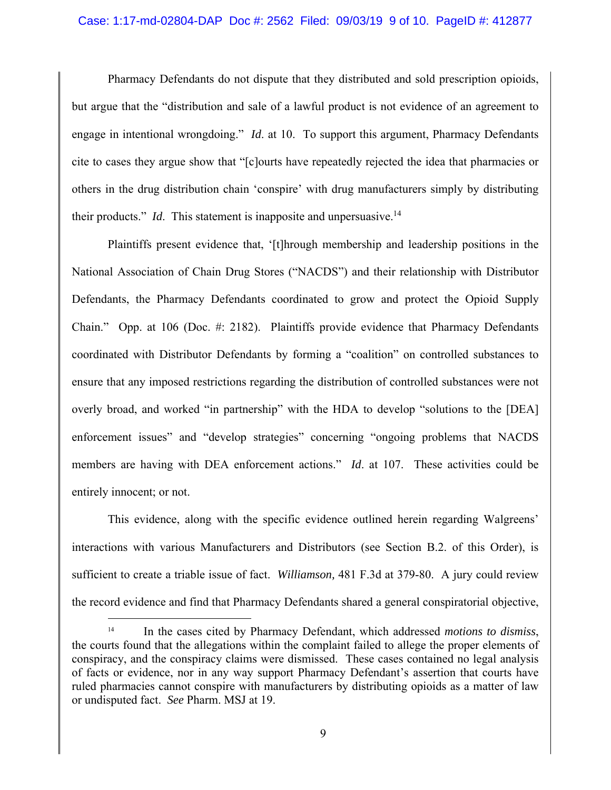#### Case: 1:17-md-02804-DAP Doc #: 2562 Filed: 09/03/19 9 of 10. PageID #: 412877

Pharmacy Defendants do not dispute that they distributed and sold prescription opioids, but argue that the "distribution and sale of a lawful product is not evidence of an agreement to engage in intentional wrongdoing." *Id*. at 10. To support this argument, Pharmacy Defendants cite to cases they argue show that "[c]ourts have repeatedly rejected the idea that pharmacies or others in the drug distribution chain 'conspire' with drug manufacturers simply by distributing their products." *Id*. This statement is inapposite and unpersuasive.<sup>14</sup>

Plaintiffs present evidence that, '[t]hrough membership and leadership positions in the National Association of Chain Drug Stores ("NACDS") and their relationship with Distributor Defendants, the Pharmacy Defendants coordinated to grow and protect the Opioid Supply Chain." Opp. at 106 (Doc. #: 2182). Plaintiffs provide evidence that Pharmacy Defendants coordinated with Distributor Defendants by forming a "coalition" on controlled substances to ensure that any imposed restrictions regarding the distribution of controlled substances were not overly broad, and worked "in partnership" with the HDA to develop "solutions to the [DEA] enforcement issues" and "develop strategies" concerning "ongoing problems that NACDS members are having with DEA enforcement actions." *Id.* at 107. These activities could be entirely innocent; or not.

This evidence, along with the specific evidence outlined herein regarding Walgreens' interactions with various Manufacturers and Distributors (see Section B.2. of this Order), is sufficient to create a triable issue of fact. *Williamson,* 481 F.3d at 379-80. A jury could review the record evidence and find that Pharmacy Defendants shared a general conspiratorial objective,

<sup>14</sup> In the cases cited by Pharmacy Defendant, which addressed *motions to dismiss*, the courts found that the allegations within the complaint failed to allege the proper elements of conspiracy, and the conspiracy claims were dismissed. These cases contained no legal analysis of facts or evidence, nor in any way support Pharmacy Defendant's assertion that courts have ruled pharmacies cannot conspire with manufacturers by distributing opioids as a matter of law or undisputed fact. *See* Pharm. MSJ at 19.